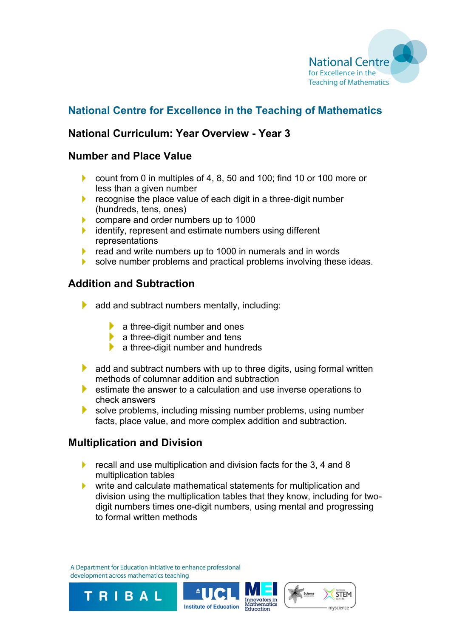

# **National Centre for Excellence in the Teaching of Mathematics**

## **National Curriculum: Year Overview - Year 3**

#### **Number and Place Value**

- ▶ count from 0 in multiples of 4, 8, 50 and 100; find 10 or 100 more or less than a given number
- $\blacktriangleright$  recognise the place value of each digit in a three-digit number (hundreds, tens, ones)
- ¥. compare and order numbers up to 1000
- identify, represent and estimate numbers using different ¥. representations
- read and write numbers up to 1000 in numerals and in words ×.
- solve number problems and practical problems involving these ideas.

## **Addition and Subtraction**

- $\blacktriangleright$  add and subtract numbers mentally, including:
	- $\blacktriangleright$  a three-digit number and ones
	- $\blacktriangleright$  a three-digit number and tens
	- $\blacktriangleright$  a three-digit number and hundreds
- $\blacktriangleright$  add and subtract numbers with up to three digits, using formal written methods of columnar addition and subtraction
- $\blacktriangleright$  estimate the answer to a calculation and use inverse operations to check answers
- Þ. solve problems, including missing number problems, using number facts, place value, and more complex addition and subtraction.

## **Multiplication and Division**

- ¥. recall and use multiplication and division facts for the 3, 4 and 8 multiplication tables
- ¥. write and calculate mathematical statements for multiplication and division using the multiplication tables that they know, including for twodigit numbers times one-digit numbers, using mental and progressing to formal written methods

A Department for Education initiative to enhance professional development across mathematics teaching

TRIBAL



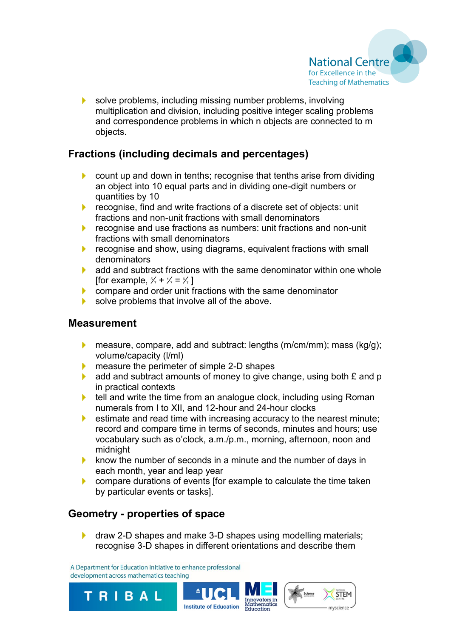

solve problems, including missing number problems, involving ¥. multiplication and division, including positive integer scaling problems and correspondence problems in which n objects are connected to m objects.

## **Fractions (including decimals and percentages)**

- count up and down in tenths; recognise that tenths arise from dividing ¥. an object into 10 equal parts and in dividing one-digit numbers or quantities by 10
- recognise, find and write fractions of a discrete set of objects: unit ¥. fractions and non-unit fractions with small denominators
- ¥. recognise and use fractions as numbers: unit fractions and non-unit fractions with small denominators
- ¥. recognise and show, using diagrams, equivalent fractions with small denominators
- **L** add and subtract fractions with the same denominator within one whole [for example,  $\frac{5}{7} + \frac{1}{7} = \frac{6}{7}$ ]
- compare and order unit fractions with the same denominator
- solve problems that involve all of the above.

#### **Measurement**

- measure, compare, add and subtract: lengths (m/cm/mm); mass (kg/g); ¥. volume/capacity (l/ml)
- measure the perimeter of simple 2-D shapes ¥.
- Þ. add and subtract amounts of money to give change, using both £ and p in practical contexts
- $\blacktriangleright$  tell and write the time from an analogue clock, including using Roman numerals from I to XII, and 12-hour and 24-hour clocks
- ¥. estimate and read time with increasing accuracy to the nearest minute; record and compare time in terms of seconds, minutes and hours; use vocabulary such as o'clock, a.m./p.m., morning, afternoon, noon and midnight
- ¥. know the number of seconds in a minute and the number of days in each month, year and leap year
- compare durations of events [for example to calculate the time taken ¥. by particular events or tasks].

## **Geometry - properties of space**

draw 2-D shapes and make 3-D shapes using modelling materials; recognise 3-D shapes in different orientations and describe them

A Department for Education initiative to enhance professional development across mathematics teaching